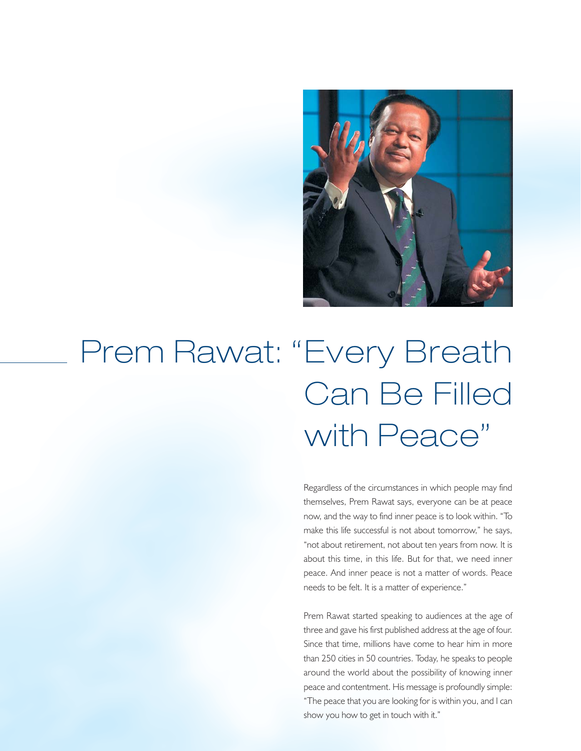

# Prem Rawat: "Every Breath Can Be Filled with Peace"

Regardless of the circumstances in which people may find themselves, Prem Rawat says, everyone can be at peace now, and the way to find inner peace is to look within. "To make this life successful is not about tomorrow," he says, "not about retirement, not about ten years from now. It is about this time, in this life. But for that, we need inner peace. And inner peace is not a matter of words. Peace needs to be felt. It is a matter of experience."

Prem Rawat started speaking to audiences at the age of three and gave his first published address at the age of four. Since that time, millions have come to hear him in more than 250 cities in 50 countries. Today, he speaks to people around the world about the possibility of knowing inner peace and contentment. His message is profoundly simple: "The peace that you are looking for is within you, and I can show you how to get in touch with it."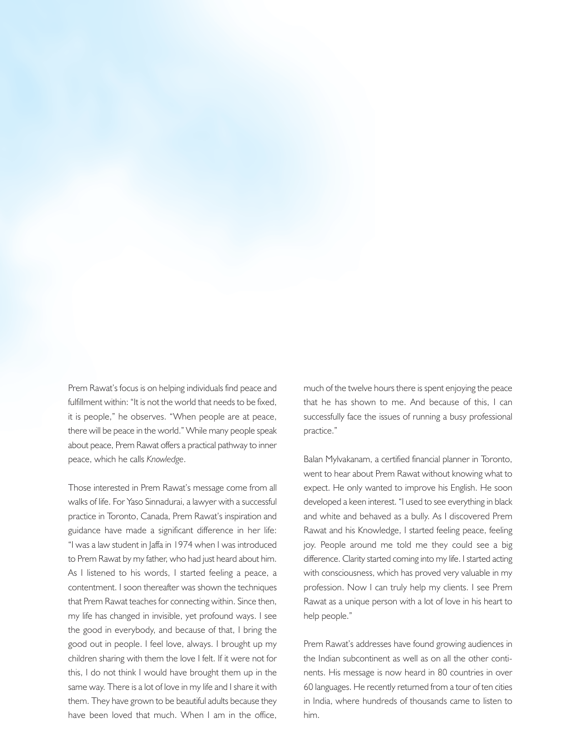

Prem Rawat's focus is on helping individuals find peace and fulfillment within: "It is not the world that needs to be fixed, it is people," he observes. "When people are at peace, there will be peace in the world." While many people speak about peace, Prem Rawat offers a practical pathway to inner peace, which he calls *Knowledge*.

Those interested in Prem Rawat's message come from all walks of life. For Yaso Sinnadurai, a lawyer with a successful practice in Toronto, Canada, Prem Rawat's inspiration and guidance have made a significant difference in her life: "I was a law student in Jaffa in 1974 when I was introduced to Prem Rawat by my father, who had just heard about him. As I listened to his words, I started feeling a peace, a contentment. I soon thereafter was shown the techniques that Prem Rawat teaches for connecting within. Since then, my life has changed in invisible, yet profound ways. I see the good in everybody, and because of that, I bring the good out in people. I feel love, always. I brought up my children sharing with them the love I felt. If it were not for this, I do not think I would have brought them up in the same way. There is a lot of love in my life and I share it with them. They have grown to be beautiful adults because they have been loved that much. When I am in the office,

much of the twelve hours there is spent enjoying the peace that he has shown to me. And because of this, I can successfully face the issues of running a busy professional practice."

Balan Mylvakanam, a certified financial planner in Toronto, went to hear about Prem Rawat without knowing what to expect. He only wanted to improve his English. He soon developed a keen interest. "I used to see everything in black and white and behaved as a bully. As I discovered Prem Rawat and his Knowledge, I started feeling peace, feeling joy. People around me told me they could see a big difference. Clarity started coming into my life. I started acting with consciousness, which has proved very valuable in my profession. Now I can truly help my clients. I see Prem Rawat as a unique person with a lot of love in his heart to help people."

Prem Rawat's addresses have found growing audiences in the Indian subcontinent as well as on all the other continents. His message is now heard in 80 countries in over 60 languages. He recently returned from a tour of ten cities in India, where hundreds of thousands came to listen to him.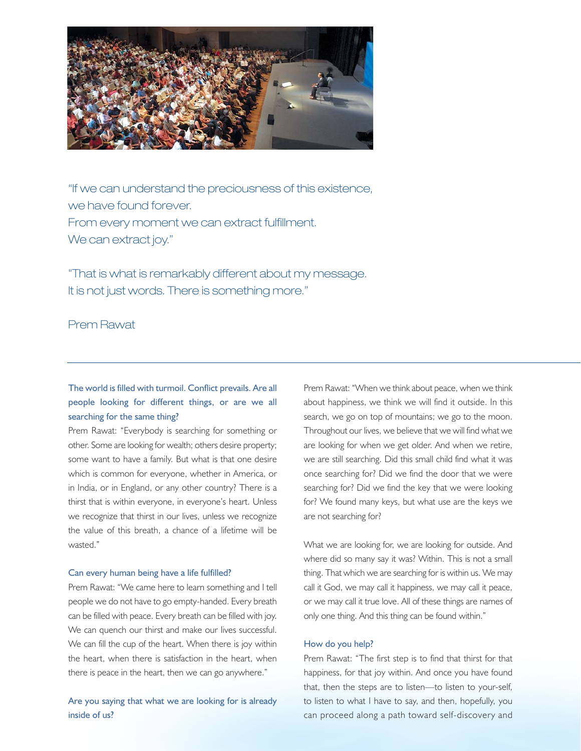

"If we can understand the preciousness of this existence, we have found forever. From every moment we can extract fulfillment. We can extract joy."

"That is what is remarkably different about my message. It is not just words. There is something more."

Prem Rawat

## The world is filled with turmoil. Conflict prevails. Are all people looking for different things, or are we all searching for the same thing?

Prem Rawat: "Everybody is searching for something or other. Some are looking for wealth; others desire property; some want to have a family. But what is that one desire which is common for everyone, whether in America, or in India, or in England, or any other country? There is a thirst that is within everyone, in everyone's heart. Unless we recognize that thirst in our lives, unless we recognize the value of this breath, a chance of a lifetime will be wasted."

### Can every human being have a life fulfilled?

Prem Rawat: "We came here to learn something and I tell people we do not have to go empty-handed. Every breath can be filled with peace. Every breath can be filled with joy. We can quench our thirst and make our lives successful. We can fill the cup of the heart. When there is joy within the heart, when there is satisfaction in the heart, when there is peace in the heart, then we can go anywhere."

Are you saying that what we are looking for is already inside of us?

Prem Rawat: "When we think about peace, when we think about happiness, we think we will find it outside. In this search, we go on top of mountains; we go to the moon. Throughout our lives, we believe that we will find what we are looking for when we get older. And when we retire, we are still searching. Did this small child find what it was once searching for? Did we find the door that we were searching for? Did we find the key that we were looking for? We found many keys, but what use are the keys we are not searching for?

What we are looking for, we are looking for outside. And where did so many say it was? Within. This is not a small thing. That which we are searching for is within us. We may call it God, we may call it happiness, we may call it peace, or we may call it true love. All of these things are names of only one thing. And this thing can be found within."

#### How do you help?

Prem Rawat: "The first step is to find that thirst for that happiness, for that joy within. And once you have found that, then the steps are to listen—to listen to your-self, to listen to what I have to say, and then, hopefully, you can proceed along a path toward self-discovery and